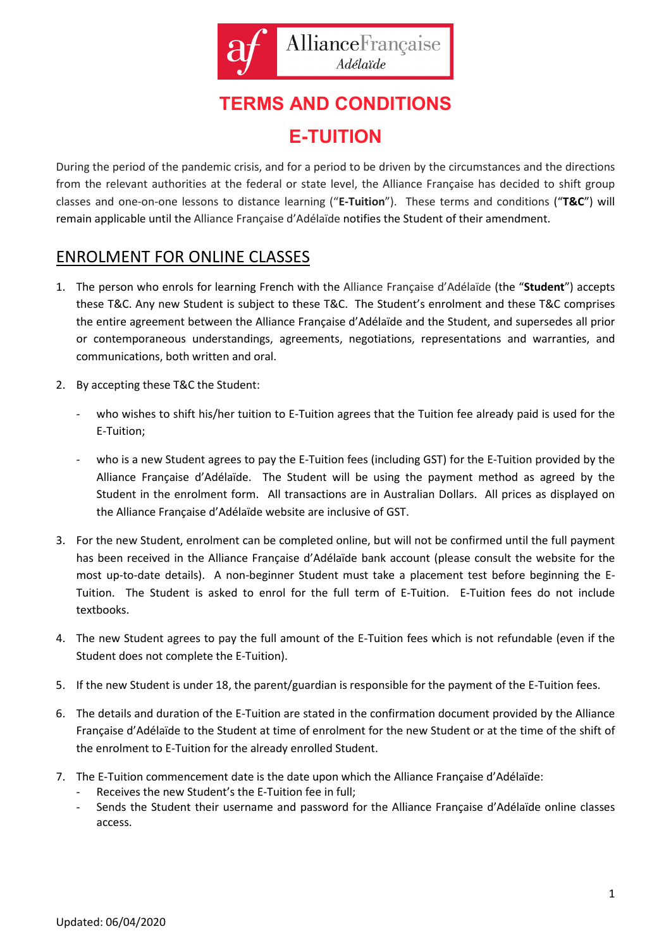

# **TERMS AND CONDITIONS E-TUITION**

During the period of the pandemic crisis, and for a period to be driven by the circumstances and the directions from the relevant authorities at the federal or state level, the Alliance Française has decided to shift group classes and one-on-one lessons to distance learning ("**E-Tuition**"). These terms and conditions ("**T&C**") will remain applicable until the Alliance Française d'Adélaïde notifies the Student of their amendment.

# ENROLMENT FOR ONLINE CLASSES

- 1. The person who enrols for learning French with the Alliance Française d'Adélaïde (the "**Student**") accepts these T&C. Any new Student is subject to these T&C. The Student's enrolment and these T&C comprises the entire agreement between the Alliance Française d'Adélaïde and the Student, and supersedes all prior or contemporaneous understandings, agreements, negotiations, representations and warranties, and communications, both written and oral.
- 2. By accepting these T&C the Student:
	- who wishes to shift his/her tuition to E-Tuition agrees that the Tuition fee already paid is used for the E-Tuition;
	- who is a new Student agrees to pay the E-Tuition fees (including GST) for the E-Tuition provided by the Alliance Française d'Adélaïde. The Student will be using the payment method as agreed by the Student in the enrolment form. All transactions are in Australian Dollars. All prices as displayed on the Alliance Française d'Adélaïde website are inclusive of GST.
- 3. For the new Student, enrolment can be completed online, but will not be confirmed until the full payment has been received in the Alliance Française d'Adélaïde bank account (please consult the website for the most up-to-date details). A non-beginner Student must take a placement test before beginning the E-Tuition. The Student is asked to enrol for the full term of E-Tuition. E-Tuition fees do not include textbooks.
- 4. The new Student agrees to pay the full amount of the E-Tuition fees which is not refundable (even if the Student does not complete the E-Tuition).
- 5. If the new Student is under 18, the parent/guardian is responsible for the payment of the E-Tuition fees.
- 6. The details and duration of the E-Tuition are stated in the confirmation document provided by the Alliance Française d'Adélaïde to the Student at time of enrolment for the new Student or at the time of the shift of the enrolment to E-Tuition for the already enrolled Student.
- 7. The E-Tuition commencement date is the date upon which the Alliance Française d'Adélaïde:
	- Receives the new Student's the E-Tuition fee in full;
	- Sends the Student their username and password for the Alliance Française d'Adélaïde online classes access.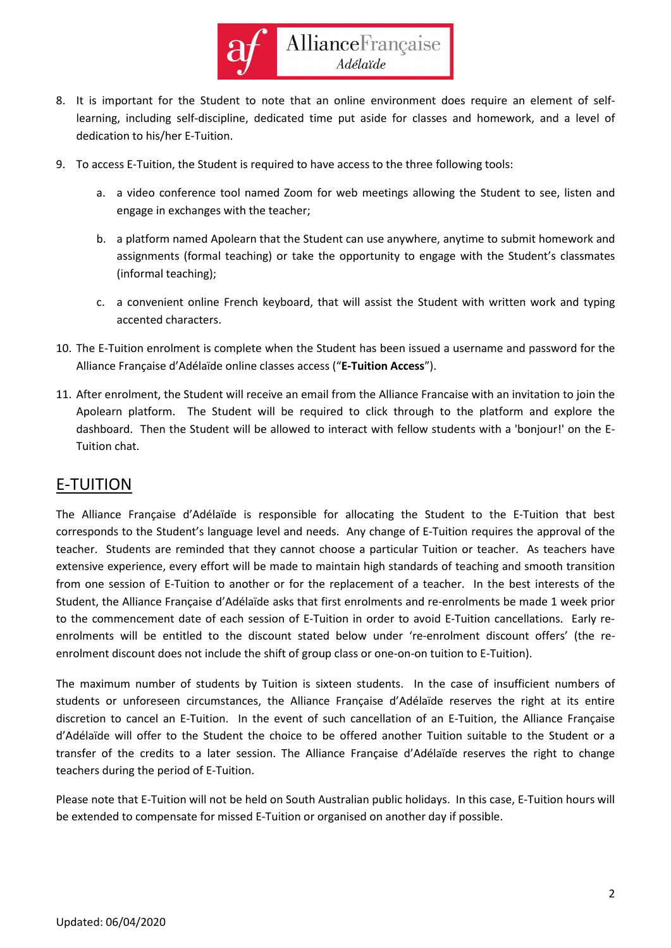

- 8. It is important for the Student to note that an online environment does require an element of selflearning, including self-discipline, dedicated time put aside for classes and homework, and a level of dedication to his/her E-Tuition.
- 9. To access E-Tuition, the Student is required to have access to the three following tools:
	- a. a video conference tool named Zoom for web meetings allowing the Student to see, listen and engage in exchanges with the teacher;
	- b. a platform named Apolearn that the Student can use anywhere, anytime to submit homework and assignments (formal teaching) or take the opportunity to engage with the Student's classmates (informal teaching);
	- c. a convenient online French keyboard, that will assist the Student with written work and typing accented characters.
- 10. The E-Tuition enrolment is complete when the Student has been issued a username and password for the Alliance Française d'Adélaïde online classes access ("**E-Tuition Access**").
- 11. After enrolment, the Student will receive an email from the Alliance Francaise with an invitation to join the Apolearn platform. The Student will be required to click through to the platform and explore the dashboard. Then the Student will be allowed to interact with fellow students with a 'bonjour!' on the E-Tuition chat.

#### E-TUITION

The Alliance Française d'Adélaïde is responsible for allocating the Student to the E-Tuition that best corresponds to the Student's language level and needs. Any change of E-Tuition requires the approval of the teacher. Students are reminded that they cannot choose a particular Tuition or teacher. As teachers have extensive experience, every effort will be made to maintain high standards of teaching and smooth transition from one session of E-Tuition to another or for the replacement of a teacher. In the best interests of the Student, the Alliance Française d'Adélaïde asks that first enrolments and re-enrolments be made 1 week prior to the commencement date of each session of E-Tuition in order to avoid E-Tuition cancellations. Early reenrolments will be entitled to the discount stated below under 're-enrolment discount offers' (the reenrolment discount does not include the shift of group class or one-on-on tuition to E-Tuition).

The maximum number of students by Tuition is sixteen students. In the case of insufficient numbers of students or unforeseen circumstances, the Alliance Française d'Adélaïde reserves the right at its entire discretion to cancel an E-Tuition. In the event of such cancellation of an E-Tuition, the Alliance Française d'Adélaïde will offer to the Student the choice to be offered another Tuition suitable to the Student or a transfer of the credits to a later session. The Alliance Française d'Adélaïde reserves the right to change teachers during the period of E-Tuition.

Please note that E-Tuition will not be held on South Australian public holidays. In this case, E-Tuition hours will be extended to compensate for missed E-Tuition or organised on another day if possible.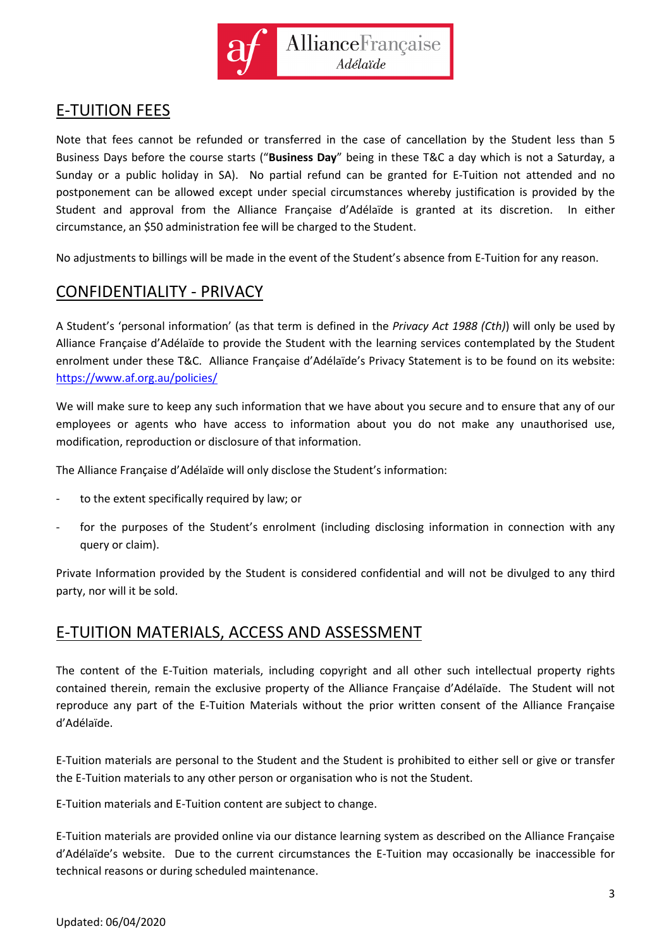

# E-TUITION FEES

Note that fees cannot be refunded or transferred in the case of cancellation by the Student less than 5 Business Days before the course starts ("**Business Day**" being in these T&C a day which is not a Saturday, a Sunday or a public holiday in SA). No partial refund can be granted for E-Tuition not attended and no postponement can be allowed except under special circumstances whereby justification is provided by the Student and approval from the Alliance Française d'Adélaïde is granted at its discretion. In either circumstance, an \$50 administration fee will be charged to the Student.

No adjustments to billings will be made in the event of the Student's absence from E-Tuition for any reason.

## CONFIDENTIALITY - PRIVACY

A Student's 'personal information' (as that term is defined in the *Privacy Act 1988 (Cth)*) will only be used by Alliance Française d'Adélaïde to provide the Student with the learning services contemplated by the Student enrolment under these T&C. Alliance Française d'Adélaïde's Privacy Statement is to be found on its website: <https://www.af.org.au/policies/>

We will make sure to keep any such information that we have about you secure and to ensure that any of our employees or agents who have access to information about you do not make any unauthorised use, modification, reproduction or disclosure of that information.

The Alliance Française d'Adélaïde will only disclose the Student's information:

- to the extent specifically required by law; or
- for the purposes of the Student's enrolment (including disclosing information in connection with any query or claim).

Private Information provided by the Student is considered confidential and will not be divulged to any third party, nor will it be sold.

#### E-TUITION MATERIALS, ACCESS AND ASSESSMENT

The content of the E-Tuition materials, including copyright and all other such intellectual property rights contained therein, remain the exclusive property of the Alliance Française d'Adélaïde. The Student will not reproduce any part of the E-Tuition Materials without the prior written consent of the Alliance Française d'Adélaïde.

E-Tuition materials are personal to the Student and the Student is prohibited to either sell or give or transfer the E-Tuition materials to any other person or organisation who is not the Student.

E-Tuition materials and E-Tuition content are subject to change.

E-Tuition materials are provided online via our distance learning system as described on the Alliance Française d'Adélaïde's website. Due to the current circumstances the E-Tuition may occasionally be inaccessible for technical reasons or during scheduled maintenance.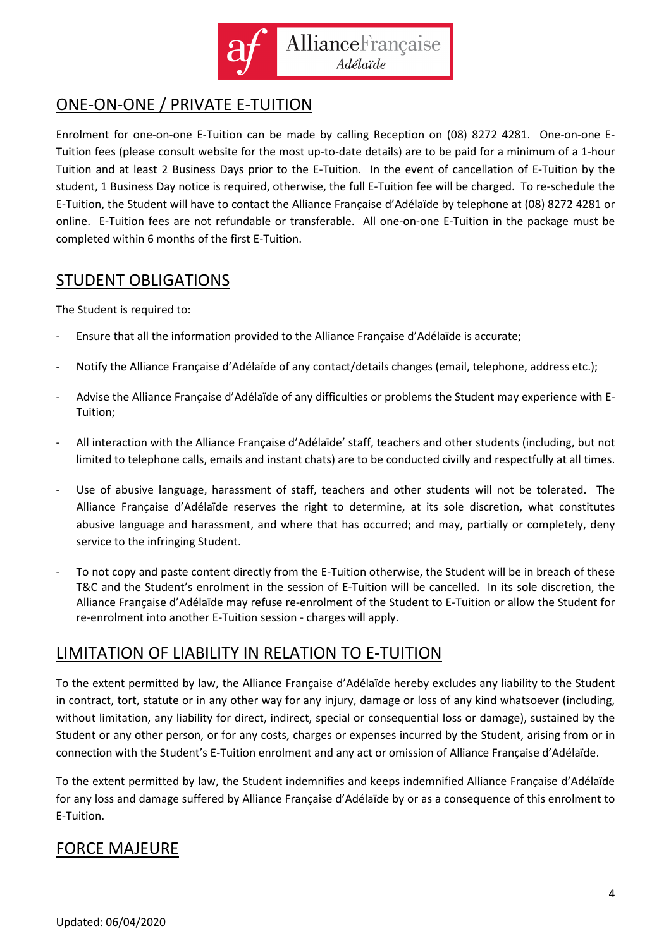

# ONE-ON-ONE / PRIVATE E-TUITION

Enrolment for one-on-one E-Tuition can be made by calling Reception on (08) 8272 4281. One-on-one E-Tuition fees (please consult website for the most up-to-date details) are to be paid for a minimum of a 1-hour Tuition and at least 2 Business Days prior to the E-Tuition. In the event of cancellation of E-Tuition by the student, 1 Business Day notice is required, otherwise, the full E-Tuition fee will be charged. To re-schedule the E-Tuition, the Student will have to contact the Alliance Française d'Adélaïde by telephone at (08) 8272 4281 or online. E-Tuition fees are not refundable or transferable. All one-on-one E-Tuition in the package must be completed within 6 months of the first E-Tuition.

## STUDENT OBLIGATIONS

The Student is required to:

- Ensure that all the information provided to the Alliance Française d'Adélaïde is accurate;
- Notify the Alliance Française d'Adélaïde of any contact/details changes (email, telephone, address etc.);
- Advise the Alliance Française d'Adélaïde of any difficulties or problems the Student may experience with E-Tuition;
- All interaction with the Alliance Française d'Adélaïde' staff, teachers and other students (including, but not limited to telephone calls, emails and instant chats) are to be conducted civilly and respectfully at all times.
- Use of abusive language, harassment of staff, teachers and other students will not be tolerated. The Alliance Française d'Adélaïde reserves the right to determine, at its sole discretion, what constitutes abusive language and harassment, and where that has occurred; and may, partially or completely, deny service to the infringing Student.
- To not copy and paste content directly from the E-Tuition otherwise, the Student will be in breach of these T&C and the Student's enrolment in the session of E-Tuition will be cancelled. In its sole discretion, the Alliance Française d'Adélaïde may refuse re-enrolment of the Student to E-Tuition or allow the Student for re-enrolment into another E-Tuition session - charges will apply.

## LIMITATION OF LIABILITY IN RELATION TO E-TUITION

To the extent permitted by law, the Alliance Française d'Adélaïde hereby excludes any liability to the Student in contract, tort, statute or in any other way for any injury, damage or loss of any kind whatsoever (including, without limitation, any liability for direct, indirect, special or consequential loss or damage), sustained by the Student or any other person, or for any costs, charges or expenses incurred by the Student, arising from or in connection with the Student's E-Tuition enrolment and any act or omission of Alliance Française d'Adélaïde.

To the extent permitted by law, the Student indemnifies and keeps indemnified Alliance Française d'Adélaïde for any loss and damage suffered by Alliance Française d'Adélaïde by or as a consequence of this enrolment to E-Tuition.

## FORCE MAJEURE